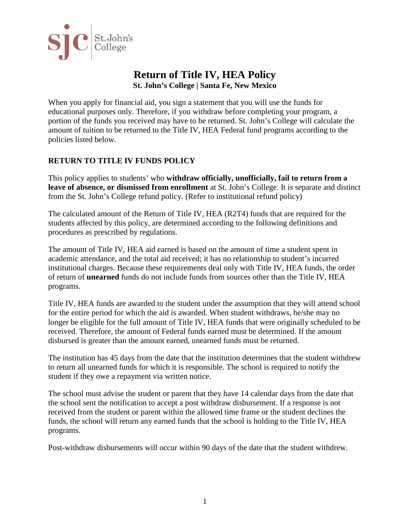

# **Return of Title IV, HEA Policy St. John's College | Santa Fe, New Mexico**

When you apply for financial aid, you sign a statement that you will use the funds for educational purposes only. Therefore, if you withdraw before completing your program, a portion of the funds you received may have to be returned. St. John's College will calculate the amount of tuition to be returned to the Title IV, HEA Federal fund programs according to the policies listed below.

# **RETURN TO TITLE IV FUNDS POLICY**

This policy applies to students' who **withdraw officially, unofficially, fail to return from a leave of absence, or dismissed from enrollment** at St. John's College. It is separate and distinct from the St. John's College refund policy. (Refer to institutional refund policy)

The calculated amount of the Return of Title IV, HEA (R2T4) funds that are required for the students affected by this policy, are determined according to the following definitions and procedures as prescribed by regulations.

The amount of Title IV, HEA aid earned is based on the amount of time a student spent in academic attendance, and the total aid received; it has no relationship to student's incurred institutional charges. Because these requirements deal only with Title IV, HEA funds, the order of return of **unearned** funds do not include funds from sources other than the Title IV, HEA programs.

Title IV, HEA funds are awarded to the student under the assumption that they will attend school for the entire period for which the aid is awarded. When student withdraws, he/she may no longer be eligible for the full amount of Title IV, HEA funds that were originally scheduled to be received. Therefore, the amount of Federal funds earned must be determined. If the amount disbursed is greater than the amount earned, unearned funds must be returned.

The institution has 45 days from the date that the institution determines that the student withdrew to return all unearned funds for which it is responsible. The school is required to notify the student if they owe a repayment via written notice.

The school must advise the student or parent that they have 14 calendar days from the date that the school sent the notification to accept a post withdraw disbursement. If a response is not received from the student or parent within the allowed time frame or the student declines the funds, the school will return any earned funds that the school is holding to the Title IV, HEA programs.

Post-withdraw disbursements will occur within 90 days of the date that the student withdrew.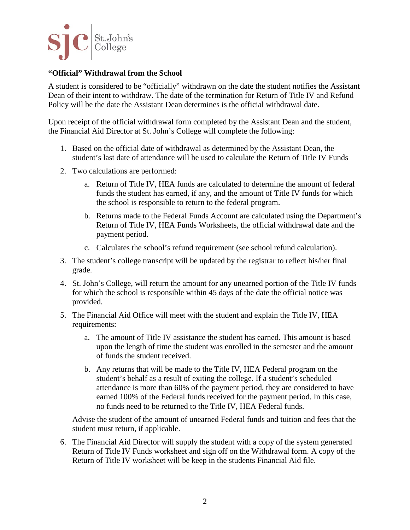

# **"Official" Withdrawal from the School**

A student is considered to be "officially" withdrawn on the date the student notifies the Assistant Dean of their intent to withdraw. The date of the termination for Return of Title IV and Refund Policy will be the date the Assistant Dean determines is the official withdrawal date.

Upon receipt of the official withdrawal form completed by the Assistant Dean and the student, the Financial Aid Director at St. John's College will complete the following:

- 1. Based on the official date of withdrawal as determined by the Assistant Dean, the student's last date of attendance will be used to calculate the Return of Title IV Funds
- 2. Two calculations are performed:
	- a. Return of Title IV, HEA funds are calculated to determine the amount of federal funds the student has earned, if any, and the amount of Title IV funds for which the school is responsible to return to the federal program.
	- b. Returns made to the Federal Funds Account are calculated using the Department's Return of Title IV, HEA Funds Worksheets, the official withdrawal date and the payment period.
	- c. Calculates the school's refund requirement (see school refund calculation).
- 3. The student's college transcript will be updated by the registrar to reflect his/her final grade.
- 4. St. John's College, will return the amount for any unearned portion of the Title IV funds for which the school is responsible within 45 days of the date the official notice was provided.
- 5. The Financial Aid Office will meet with the student and explain the Title IV, HEA requirements:
	- a. The amount of Title IV assistance the student has earned. This amount is based upon the length of time the student was enrolled in the semester and the amount of funds the student received.
	- b. Any returns that will be made to the Title IV, HEA Federal program on the student's behalf as a result of exiting the college. If a student's scheduled attendance is more than 60% of the payment period, they are considered to have earned 100% of the Federal funds received for the payment period. In this case, no funds need to be returned to the Title IV, HEA Federal funds.

Advise the student of the amount of unearned Federal funds and tuition and fees that the student must return, if applicable.

6. The Financial Aid Director will supply the student with a copy of the system generated Return of Title IV Funds worksheet and sign off on the Withdrawal form. A copy of the Return of Title IV worksheet will be keep in the students Financial Aid file.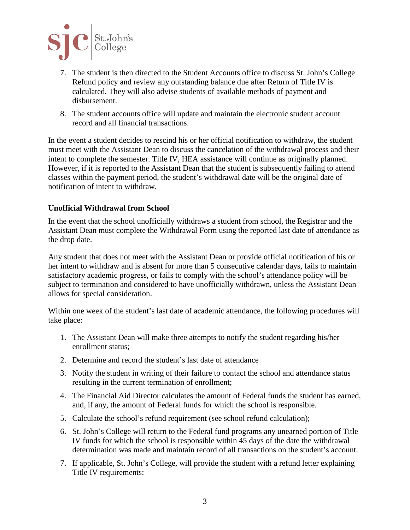

- 7. The student is then directed to the Student Accounts office to discuss St. John's College Refund policy and review any outstanding balance due after Return of Title IV is calculated. They will also advise students of available methods of payment and disbursement.
- 8. The student accounts office will update and maintain the electronic student account record and all financial transactions.

In the event a student decides to rescind his or her official notification to withdraw, the student must meet with the Assistant Dean to discuss the cancelation of the withdrawal process and their intent to complete the semester. Title IV, HEA assistance will continue as originally planned. However, if it is reported to the Assistant Dean that the student is subsequently failing to attend classes within the payment period, the student's withdrawal date will be the original date of notification of intent to withdraw.

# **Unofficial Withdrawal from School**

In the event that the school unofficially withdraws a student from school, the Registrar and the Assistant Dean must complete the Withdrawal Form using the reported last date of attendance as the drop date.

Any student that does not meet with the Assistant Dean or provide official notification of his or her intent to withdraw and is absent for more than 5 consecutive calendar days, fails to maintain satisfactory academic progress, or fails to comply with the school's attendance policy will be subject to termination and considered to have unofficially withdrawn, unless the Assistant Dean allows for special consideration.

Within one week of the student's last date of academic attendance, the following procedures will take place:

- 1. The Assistant Dean will make three attempts to notify the student regarding his/her enrollment status;
- 2. Determine and record the student's last date of attendance
- 3. Notify the student in writing of their failure to contact the school and attendance status resulting in the current termination of enrollment;
- 4. The Financial Aid Director calculates the amount of Federal funds the student has earned, and, if any, the amount of Federal funds for which the school is responsible.
- 5. Calculate the school's refund requirement (see school refund calculation);
- 6. St. John's College will return to the Federal fund programs any unearned portion of Title IV funds for which the school is responsible within 45 days of the date the withdrawal determination was made and maintain record of all transactions on the student's account.
- 7. If applicable, St. John's College, will provide the student with a refund letter explaining Title IV requirements: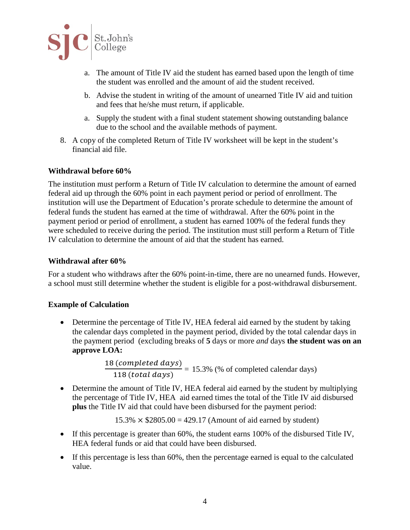

- a. The amount of Title IV aid the student has earned based upon the length of time the student was enrolled and the amount of aid the student received.
- b. Advise the student in writing of the amount of unearned Title IV aid and tuition and fees that he/she must return, if applicable.
- a. Supply the student with a final student statement showing outstanding balance due to the school and the available methods of payment.
- 8. A copy of the completed Return of Title IV worksheet will be kept in the student's financial aid file.

# **Withdrawal before 60%**

The institution must perform a Return of Title IV calculation to determine the amount of earned federal aid up through the 60% point in each payment period or period of enrollment. The institution will use the Department of Education's prorate schedule to determine the amount of federal funds the student has earned at the time of withdrawal. After the 60% point in the payment period or period of enrollment, a student has earned 100% of the federal funds they were scheduled to receive during the period. The institution must still perform a Return of Title IV calculation to determine the amount of aid that the student has earned.

#### **Withdrawal after 60%**

For a student who withdraws after the 60% point-in-time, there are no unearned funds. However, a school must still determine whether the student is eligible for a post-withdrawal disbursement.

#### **Example of Calculation**

• Determine the percentage of Title IV, HEA federal aid earned by the student by taking the calendar days completed in the payment period, divided by the total calendar days in the payment period (excluding breaks of **5** days or more *and* days **the student was on an approve LOA:**

 $\frac{18 (completed \, days)}{118 (total \, days)} = 15.3\%$  (% of completed calendar days)

• Determine the amount of Title IV, HEA federal aid earned by the student by multiplying the percentage of Title IV, HEA aid earned times the total of the Title IV aid disbursed **plus** the Title IV aid that could have been disbursed for the payment period:

 $15.3\% \times $2805.00 = 429.17$  (Amount of aid earned by student)

- If this percentage is greater than 60%, the student earns 100% of the disbursed Title IV, HEA federal funds or aid that could have been disbursed.
- If this percentage is less than 60%, then the percentage earned is equal to the calculated value.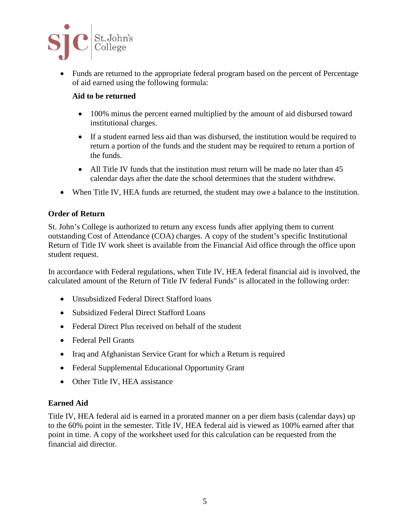

• Funds are returned to the appropriate federal program based on the percent of Percentage of aid earned using the following formula:

# **Aid to be returned**

- 100% minus the percent earned multiplied by the amount of aid disbursed toward institutional charges.
- If a student earned less aid than was disbursed, the institution would be required to return a portion of the funds and the student may be required to return a portion of the funds.
- All Title IV funds that the institution must return will be made no later than 45 calendar days after the date the school determines that the student withdrew.
- When Title IV, HEA funds are returned, the student may owe a balance to the institution.

# **Order of Return**

St. John's College is authorized to return any excess funds after applying them to current outstanding Cost of Attendance (COA) charges. A copy of the student's specific Institutional Return of Title IV work sheet is available from the Financial Aid office through the office upon student request.

In accordance with Federal regulations, when Title IV, HEA federal financial aid is involved, the calculated amount of the Return of Title IV federal Funds" is allocated in the following order:

- Unsubsidized Federal Direct Stafford loans
- Subsidized Federal Direct Stafford Loans
- Federal Direct Plus received on behalf of the student
- Federal Pell Grants
- Iraq and Afghanistan Service Grant for which a Return is required
- Federal Supplemental Educational Opportunity Grant
- Other Title IV, HEA assistance

#### **Earned Aid**

Title IV, HEA federal aid is earned in a prorated manner on a per diem basis (calendar days) up to the 60% point in the semester. Title IV, HEA federal aid is viewed as 100% earned after that point in time. A copy of the worksheet used for this calculation can be requested from the financial aid director.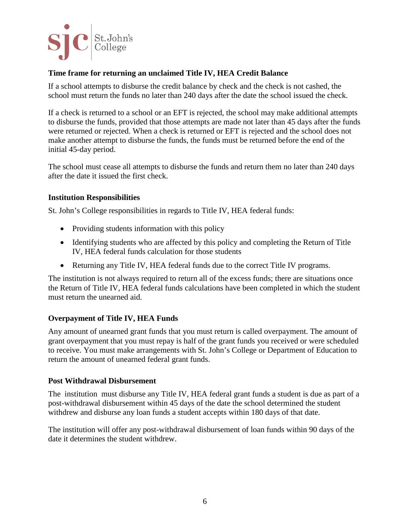

# **Time frame for returning an unclaimed Title IV, HEA Credit Balance**

If a school attempts to disburse the credit balance by check and the check is not cashed, the school must return the funds no later than 240 days after the date the school issued the check.

If a check is returned to a school or an EFT is rejected, the school may make additional attempts to disburse the funds, provided that those attempts are made not later than 45 days after the funds were returned or rejected. When a check is returned or EFT is rejected and the school does not make another attempt to disburse the funds, the funds must be returned before the end of the initial 45-day period.

The school must cease all attempts to disburse the funds and return them no later than 240 days after the date it issued the first check.

#### **Institution Responsibilities**

St. John's College responsibilities in regards to Title IV, HEA federal funds:

- Providing students information with this policy
- Identifying students who are affected by this policy and completing the Return of Title IV, HEA federal funds calculation for those students
- Returning any Title IV, HEA federal funds due to the correct Title IV programs.

The institution is not always required to return all of the excess funds; there are situations once the Return of Title IV, HEA federal funds calculations have been completed in which the student must return the unearned aid.

# **Overpayment of Title IV, HEA Funds**

Any amount of unearned grant funds that you must return is called overpayment. The amount of grant overpayment that you must repay is half of the grant funds you received or were scheduled to receive. You must make arrangements with St. John's College or Department of Education to return the amount of unearned federal grant funds.

#### **Post Withdrawal Disbursement**

The institution must disburse any Title IV, HEA federal grant funds a student is due as part of a post-withdrawal disbursement within 45 days of the date the school determined the student withdrew and disburse any loan funds a student accepts within 180 days of that date.

The institution will offer any post-withdrawal disbursement of loan funds within 90 days of the date it determines the student withdrew.